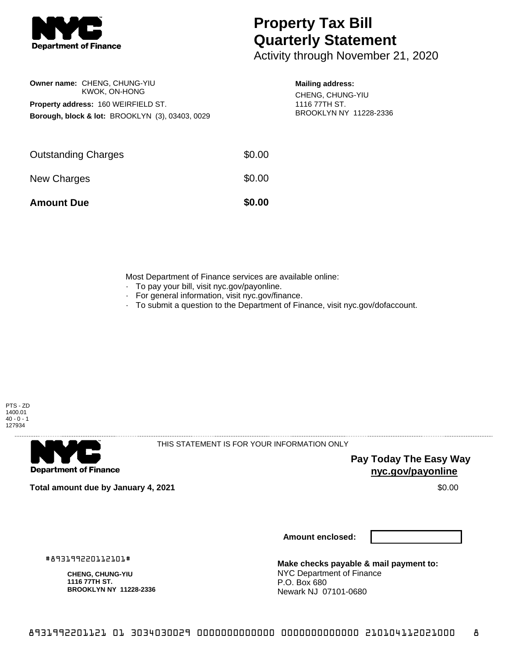

# **Property Tax Bill Quarterly Statement**

Activity through November 21, 2020

## **Owner name:** CHENG, CHUNG-YIU KWOK, ON-HONG **Property address:** 160 WEIRFIELD ST. **Borough, block & lot:** BROOKLYN (3), 03403, 0029

#### **Mailing address:**

CHENG, CHUNG-YIU 1116 77TH ST. BROOKLYN NY 11228-2336

| <b>Amount Due</b>          | \$0.00 |
|----------------------------|--------|
| New Charges                | \$0.00 |
| <b>Outstanding Charges</b> | \$0.00 |

Most Department of Finance services are available online:

- · To pay your bill, visit nyc.gov/payonline.
- For general information, visit nyc.gov/finance.
- · To submit a question to the Department of Finance, visit nyc.gov/dofaccount.



**Department of Finance** 

THIS STATEMENT IS FOR YOUR INFORMATION ONLY

**Pay Today The Easy Way nyc.gov/payonline**

**Total amount due by January 4, 2021** \$0.00

**Amount enclosed:**

#893199220112101#

**CHENG, CHUNG-YIU 1116 77TH ST. BROOKLYN NY 11228-2336**

**Make checks payable & mail payment to:** NYC Department of Finance P.O. Box 680 Newark NJ 07101-0680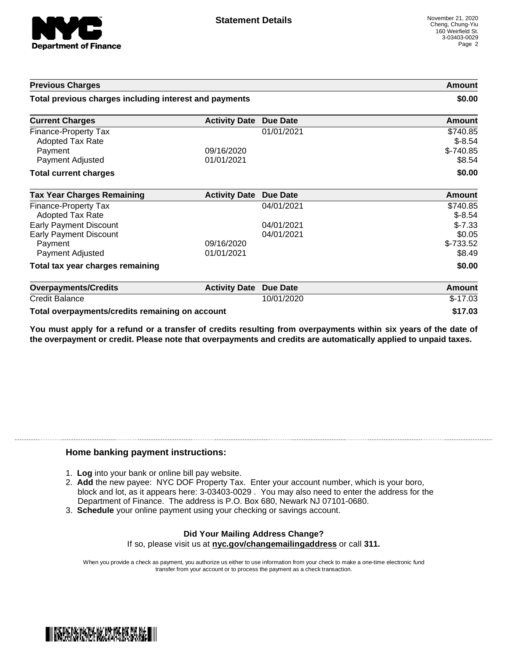

| <b>Previous Charges</b>                                |                      |                 | Amount                        |
|--------------------------------------------------------|----------------------|-----------------|-------------------------------|
| Total previous charges including interest and payments |                      |                 | \$0.00                        |
| <b>Current Charges</b>                                 | <b>Activity Date</b> | <b>Due Date</b> | <b>Amount</b>                 |
| Finance-Property Tax                                   |                      | 01/01/2021      | \$740.85                      |
| <b>Adopted Tax Rate</b>                                |                      |                 | $$-8.54$                      |
| Payment                                                | 09/16/2020           |                 | $$-740.85$                    |
| Payment Adjusted                                       | 01/01/2021           |                 | \$8.54                        |
| <b>Total current charges</b>                           |                      |                 | \$0.00                        |
| <b>Tax Year Charges Remaining</b>                      | <b>Activity Date</b> | <b>Due Date</b> | Amount                        |
| <b>Finance-Property Tax</b>                            |                      | 04/01/2021      | \$740.85                      |
| Adopted Tax Rate                                       |                      |                 | $$-8.54$                      |
| <b>Early Payment Discount</b>                          |                      | 04/01/2021      | $$-7.33$                      |
| <b>Early Payment Discount</b>                          |                      | 04/01/2021      | \$0.05                        |
| Payment                                                | 09/16/2020           |                 | $$-733.52$                    |
| Payment Adjusted                                       | 01/01/2021           |                 | \$8.49                        |
| Total tax year charges remaining                       |                      |                 | \$0.00                        |
| <b>Overpayments/Credits</b>                            | <b>Activity Date</b> | <b>Due Date</b> | <b>Amount</b>                 |
| <b>Credit Balance</b>                                  |                      | 10/01/2020      | $$-17.03$                     |
|                                                        |                      |                 | $\bullet$ $\bullet$ $\bullet$ |

**Total overpayments/credits remaining on account \$17.03**

You must apply for a refund or a transfer of credits resulting from overpayments within six years of the date of **the overpayment or credit. Please note that overpayments and credits are automatically applied to unpaid taxes.**

#### **Home banking payment instructions:**

- 1. **Log** into your bank or online bill pay website.
- 2. **Add** the new payee: NYC DOF Property Tax. Enter your account number, which is your boro, block and lot, as it appears here: 3-03403-0029 . You may also need to enter the address for the Department of Finance. The address is P.O. Box 680, Newark NJ 07101-0680.
- 3. **Schedule** your online payment using your checking or savings account.

### **Did Your Mailing Address Change?** If so, please visit us at **nyc.gov/changemailingaddress** or call **311.**

When you provide a check as payment, you authorize us either to use information from your check to make a one-time electronic fund transfer from your account or to process the payment as a check transaction.